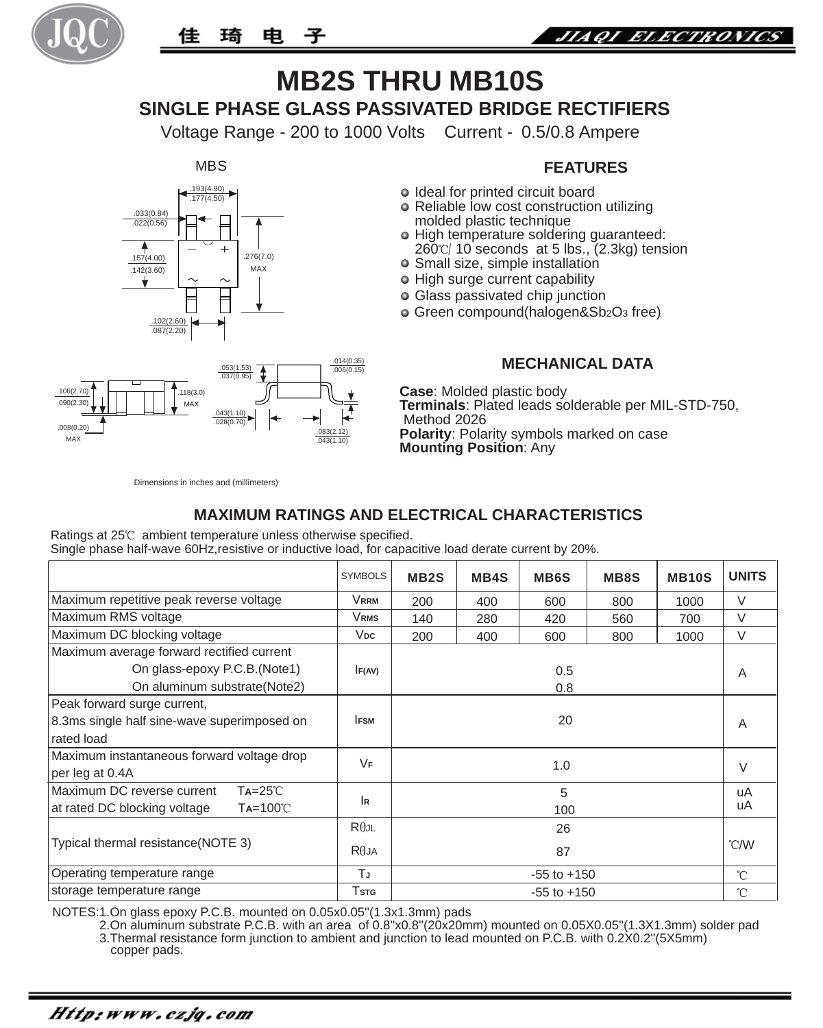



# **MB2S THRU MB10S SINGLE PHASE GLASS PASSIVATED BRIDGE RECTIFIERS**

Voltage Range - 200 to 1000 Volts Current - 0.5/0.8 Ampere

**MBS** 





#### **FEATURES**

- o Ideal for printed circuit board
- Reliable low cost construction utilizing molded plastic technique
- o High temperature soldering guaranteed: 260 /10 seconds at 5 lbs., (2.3kg) tension
- Small size, simple installation
- High surge current capability
- Glass passivated chip junction
- Green compound(halogen&Sb2O3 free)

#### **MECHANICAL DATA**

**Case**: Molded plastic body **Terminals**: Plated leads solderable per MIL-STD-750, Method 2026 **Polarity**: Polarity symbols marked on case **Mounting Position**: Any

Dimensions in inches and (millimeters)

### **MAXIMUM RATINGS AND ELECTRICAL CHARACTERISTICS**

Ratings at 25°C ambient temperature unless otherwise specified. Single phase half-wave 60Hz,resistive or inductive load, for capacitive load derate current by 20%.

|                                                   | <b>SYMBOLS</b>      | MB <sub>2</sub> S | <b>MB4S</b> | <b>MB6S</b> | <b>MB8S</b> | <b>MB10S</b> | <b>UNITS</b> |
|---------------------------------------------------|---------------------|-------------------|-------------|-------------|-------------|--------------|--------------|
| Maximum repetitive peak reverse voltage           | Vrrm                | 200               | 400         | 600         | 800         | 1000         | $\vee$       |
| Maximum RMS voltage                               | Vrms                | 140               | 280         | 420         | 560         | 700          | $\vee$       |
| Maximum DC blocking voltage                       | $V_{DC}$            | 200               | 400         | 600         | 800         | 1000         | $\vee$       |
| Maximum average forward rectified current         |                     |                   |             |             |             |              |              |
| On glass-epoxy P.C.B. (Note1)                     | F(AV)<br>0.5<br>0.8 |                   |             |             |             |              | A            |
| On aluminum substrate (Note2)                     |                     |                   |             |             |             |              |              |
| Peak forward surge current,                       |                     |                   |             |             |             |              |              |
| 8.3ms single half sine-wave superimposed on       | <b>IFSM</b><br>20   |                   |             |             |             | A            |              |
| rated load                                        |                     |                   |             |             |             |              |              |
| Maximum instantaneous forward voltage drop        | VF                  | 1.0               |             |             |             |              | $\vee$       |
| per leg at 0.4A                                   |                     |                   |             |             |             |              |              |
| Maximum DC reverse current<br>$Ta=25^\circ C$     | l R                 | 5                 |             |             |             |              | uA           |
| $Ta=100^{\circ}C$<br>at rated DC blocking voltage |                     | 100               |             |             |             |              | uA           |
| Typical thermal resistance (NOTE 3)               | $R\theta$ JL        | 26<br>87          |             |             |             |              | °C/W         |
|                                                   | $R\theta$ JA        |                   |             |             |             |              |              |
| Operating temperature range                       | ТJ                  | $-55$ to $+150$   |             |             |             |              | $\hat{C}$    |
| storage temperature range                         | Tstg                | $-55$ to $+150$   |             |             |             |              | 'n           |

NOTES:1.On glass epoxy P.C.B. mounted on 0.05x0.05''(1.3x1.3mm) pads

 2.On aluminum substrate P.C.B. with an area of 0.8''x0.8''(20x20mm) mounted on 0.05X0.05''(1.3X1.3mm) solder pad 3.Thermal resistance form junction to ambient and junction to lead mounted on P.C.B. with 0.2X0.2''(5X5mm) copper pads.